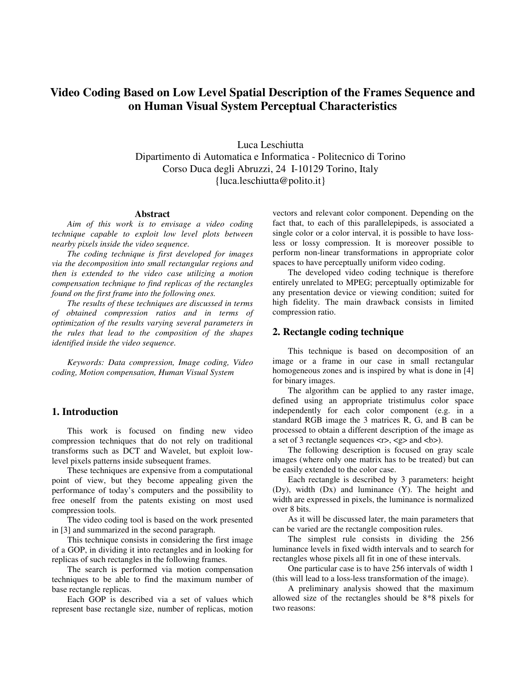# **Video Coding Based on Low Level Spatial Description of the Frames Sequence and on Human Visual System Perceptual Characteristics**

Luca Leschiutta Dipartimento di Automatica e Informatica - Politecnico di Torino Corso Duca degli Abruzzi, 24 I-10129 Torino, Italy {luca.leschiutta@polito.it}

# **Abstract**

*Aim of this work is to envisage a video coding technique capable to exploit low level plots between nearby pixels inside the video sequence.*

*The coding technique is first developed for images via the decomposition into small rectangular regions and then is extended to the video case utilizing a motion compensation technique to find replicas of the rectangles found on the first frame into the following ones.*

*The results of these techniques are discussed in terms of obtained compression ratios and in terms of optimization of the results varying several parameters in the rules that lead to the composition of the shapes identified inside the video sequence.*

*Keywords: Data compression, Image coding, Video coding, Motion compensation, Human Visual System*

# **1. Introduction**

This work is focused on finding new video compression techniques that do not rely on traditional transforms such as DCT and Wavelet, but exploit lowlevel pixels patterns inside subsequent frames.

These techniques are expensive from a computational point of view, but they become appealing given the performance of today's computers and the possibility to free oneself from the patents existing on most used compression tools.

The video coding tool is based on the work presented in [3] and summarized in the second paragraph.

This technique consists in considering the first image of a GOP, in dividing it into rectangles and in looking for replicas of such rectangles in the following frames.

The search is performed via motion compensation techniques to be able to find the maximum number of base rectangle replicas.

Each GOP is described via a set of values which represent base rectangle size, number of replicas, motion

vectors and relevant color component. Depending on the fact that, to each of this parallelepipeds, is associated a single color or a color interval, it is possible to have lossless or lossy compression. It is moreover possible to perform non-linear transformations in appropriate color spaces to have perceptually uniform video coding.

The developed video coding technique is therefore entirely unrelated to MPEG; perceptually optimizable for any presentation device or viewing condition; suited for high fidelity. The main drawback consists in limited compression ratio.

# **2. Rectangle coding technique**

This technique is based on decomposition of an image or a frame in our case in small rectangular homogeneous zones and is inspired by what is done in [4] for binary images.

The algorithm can be applied to any raster image, defined using an appropriate tristimulus color space independently for each color component (e.g. in a standard RGB image the 3 matrices R, G, and B can be processed to obtain a different description of the image as a set of 3 rectangle sequences  $\langle r \rangle$ ,  $\langle g \rangle$  and  $\langle b \rangle$ .

The following description is focused on gray scale images (where only one matrix has to be treated) but can be easily extended to the color case.

Each rectangle is described by 3 parameters: height (Dy), width (Dx) and luminance (Y). The height and width are expressed in pixels, the luminance is normalized over 8 bits.

As it will be discussed later, the main parameters that can be varied are the rectangle composition rules.

The simplest rule consists in dividing the 256 luminance levels in fixed width intervals and to search for rectangles whose pixels all fit in one of these intervals.

One particular case is to have 256 intervals of width 1 (this will lead to a loss-less transformation of the image).

A preliminary analysis showed that the maximum allowed size of the rectangles should be 8\*8 pixels for two reasons: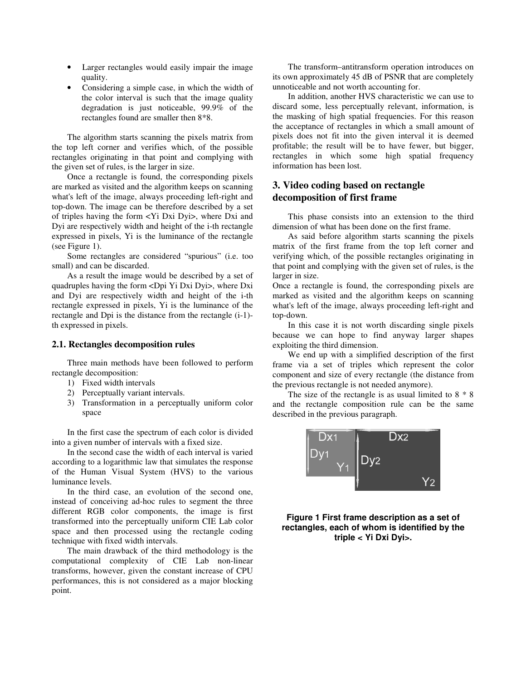- Larger rectangles would easily impair the image quality.
- Considering a simple case, in which the width of the color interval is such that the image quality degradation is just noticeable, 99.9% of the rectangles found are smaller then 8\*8.

The algorithm starts scanning the pixels matrix from the top left corner and verifies which, of the possible rectangles originating in that point and complying with the given set of rules, is the larger in size.

Once a rectangle is found, the corresponding pixels are marked as visited and the algorithm keeps on scanning what's left of the image, always proceeding left-right and top-down. The image can be therefore described by a set of triples having the form <Yi Dxi Dyi>, where Dxi and Dyi are respectively width and height of the i-th rectangle expressed in pixels, Yi is the luminance of the rectangle (see Figure 1).

Some rectangles are considered "spurious" (i.e. too small) and can be discarded.

As a result the image would be described by a set of quadruples having the form <Dpi Yi Dxi Dyi>, where Dxi and Dyi are respectively width and height of the i-th rectangle expressed in pixels, Yi is the luminance of the rectangle and Dpi is the distance from the rectangle (i-1) th expressed in pixels.

# **2.1. Rectangles decomposition rules**

Three main methods have been followed to perform rectangle decomposition:

- 1) Fixed width intervals
- 2) Perceptually variant intervals.
- 3) Transformation in a perceptually uniform color space

In the first case the spectrum of each color is divided into a given number of intervals with a fixed size.

In the second case the width of each interval is varied according to a logarithmic law that simulates the response of the Human Visual System (HVS) to the various luminance levels.

In the third case, an evolution of the second one, instead of conceiving ad-hoc rules to segment the three different RGB color components, the image is first transformed into the perceptually uniform CIE Lab color space and then processed using the rectangle coding technique with fixed width intervals.

The main drawback of the third methodology is the computational complexity of CIE Lab non-linear transforms, however, given the constant increase of CPU performances, this is not considered as a major blocking point.

The transform–antitransform operation introduces on its own approximately 45 dB of PSNR that are completely unnoticeable and not worth accounting for.

In addition, another HVS characteristic we can use to discard some, less perceptually relevant, information, is the masking of high spatial frequencies. For this reason the acceptance of rectangles in which a small amount of pixels does not fit into the given interval it is deemed profitable; the result will be to have fewer, but bigger, rectangles in which some high spatial frequency information has been lost.

# **3. Video coding based on rectangle decomposition of first frame**

This phase consists into an extension to the third dimension of what has been done on the first frame.

As said before algorithm starts scanning the pixels matrix of the first frame from the top left corner and verifying which, of the possible rectangles originating in that point and complying with the given set of rules, is the larger in size.

Once a rectangle is found, the corresponding pixels are marked as visited and the algorithm keeps on scanning what's left of the image, always proceeding left-right and top-down.

In this case it is not worth discarding single pixels because we can hope to find anyway larger shapes exploiting the third dimension.

We end up with a simplified description of the first frame via a set of triples which represent the color component and size of every rectangle (the distance from the previous rectangle is not needed anymore).

The size of the rectangle is as usual limited to  $8 * 8$ and the rectangle composition rule can be the same described in the previous paragraph.



**Figure 1 First frame description as a set of rectangles, each of whom is identified by the triple < Yi Dxi Dyi>.**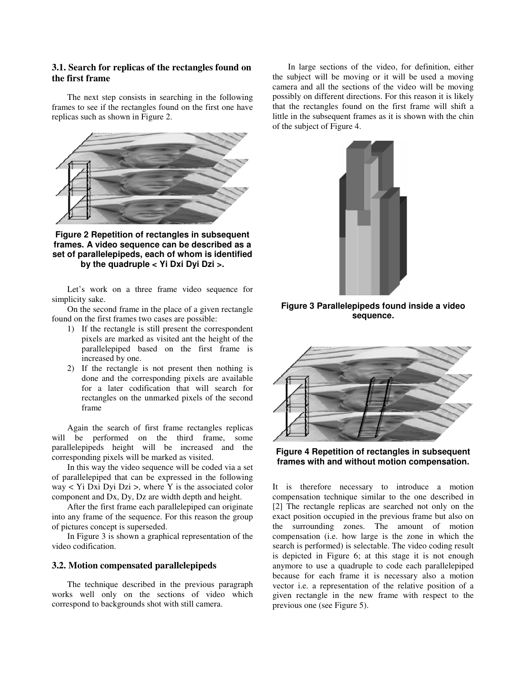# **3.1. Search for replicas of the rectangles found on the first frame**

The next step consists in searching in the following frames to see if the rectangles found on the first one have replicas such as shown in Figure 2.



**Figure 2 Repetition of rectangles in subsequent frames. A video sequence can be described as a set of parallelepipeds, each of whom is identified by the quadruple < Yi Dxi Dyi Dzi >.**

Let's work on a three frame video sequence for simplicity sake.

On the second frame in the place of a given rectangle found on the first frames two cases are possible:

- 1) If the rectangle is still present the correspondent pixels are marked as visited ant the height of the parallelepiped based on the first frame is increased by one.
- 2) If the rectangle is not present then nothing is done and the corresponding pixels are available for a later codification that will search for rectangles on the unmarked pixels of the second frame

Again the search of first frame rectangles replicas will be performed on the third frame, some parallelepipeds height will be increased and the corresponding pixels will be marked as visited.

In this way the video sequence will be coded via a set of parallelepiped that can be expressed in the following way  $\langle$  Yi Dxi Dyi Dzi  $\rangle$ , where Y is the associated color component and Dx, Dy, Dz are width depth and height.

After the first frame each parallelepiped can originate into any frame of the sequence. For this reason the group of pictures concept is superseded.

In Figure 3 is shown a graphical representation of the video codification.

# **3.2. Motion compensated parallelepipeds**

The technique described in the previous paragraph works well only on the sections of video which correspond to backgrounds shot with still camera.

In large sections of the video, for definition, either the subject will be moving or it will be used a moving camera and all the sections of the video will be moving possibly on different directions. For this reason it is likely that the rectangles found on the first frame will shift a little in the subsequent frames as it is shown with the chin of the subject of Figure 4.



**Figure 3 Parallelepipeds found inside a video sequence.**



**Figure 4 Repetition of rectangles in subsequent frames with and without motion compensation.**

It is therefore necessary to introduce a motion compensation technique similar to the one described in [2] The rectangle replicas are searched not only on the exact position occupied in the previous frame but also on the surrounding zones. The amount of motion compensation (i.e. how large is the zone in which the search is performed) is selectable. The video coding result is depicted in Figure 6; at this stage it is not enough anymore to use a quadruple to code each parallelepiped because for each frame it is necessary also a motion vector i.e. a representation of the relative position of a given rectangle in the new frame with respect to the previous one (see Figure 5).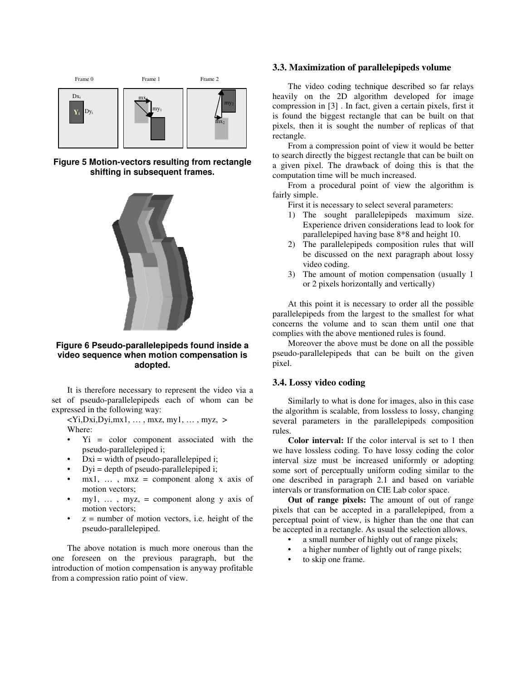

**Figure 5 Motion-vectors resulting from rectangle shifting in subsequent frames.**



# **Figure 6 Pseudo-parallelepipeds found inside a video sequence when motion compensation is adopted.**

It is therefore necessary to represent the video via a set of pseudo-parallelepipeds each of whom can be expressed in the following way:

 $\langle \mathbf{Y}_i, \mathbf{D}_x, \mathbf{X}_j, \mathbf{D}_y, \mathbf{X}_i, \dots, \mathbf{M}_x, \mathbf{X}_j, \mathbf{M}_y, \mathbf{X}_j \rangle$ Where:

- Yi = color component associated with the pseudo-parallelepiped i;
- $Dxi = width of pseudo-parallellepiped i;$
- $Dyi = depth of pseudo-parallellepiped i;$
- $mx1, \ldots$ ,  $mxz = component along x axis of$ motion vectors;
- $my1, \ldots, myz, = component along y axis of$ motion vectors;
- $z =$  number of motion vectors, i.e. height of the pseudo-parallelepiped.

The above notation is much more onerous than the one foreseen on the previous paragraph, but the introduction of motion compensation is anyway profitable from a compression ratio point of view.

#### **3.3. Maximization of parallelepipeds volume**

The video coding technique described so far relays heavily on the 2D algorithm developed for image compression in [3] . In fact, given a certain pixels, first it is found the biggest rectangle that can be built on that pixels, then it is sought the number of replicas of that rectangle.

From a compression point of view it would be better to search directly the biggest rectangle that can be built on a given pixel. The drawback of doing this is that the computation time will be much increased.

From a procedural point of view the algorithm is fairly simple.

- First it is necessary to select several parameters:
- 1) The sought parallelepipeds maximum size. Experience driven considerations lead to look for parallelepiped having base 8\*8 and height 10.
- 2) The parallelepipeds composition rules that will be discussed on the next paragraph about lossy video coding.
- 3) The amount of motion compensation (usually 1 or 2 pixels horizontally and vertically)

At this point it is necessary to order all the possible parallelepipeds from the largest to the smallest for what concerns the volume and to scan them until one that complies with the above mentioned rules is found.

Moreover the above must be done on all the possible pseudo-parallelepipeds that can be built on the given pixel.

# **3.4. Lossy video coding**

Similarly to what is done for images, also in this case the algorithm is scalable, from lossless to lossy, changing several parameters in the parallelepipeds composition rules.

**Color interval:** If the color interval is set to 1 then we have lossless coding. To have lossy coding the color interval size must be increased uniformly or adopting some sort of perceptually uniform coding similar to the one described in paragraph 2.1 and based on variable intervals or transformation on CIE Lab color space.

**Out of range pixels:** The amount of out of range pixels that can be accepted in a parallelepiped, from a perceptual point of view, is higher than the one that can be accepted in a rectangle. As usual the selection allows.

- a small number of highly out of range pixels;
- a higher number of lightly out of range pixels;
- to skip one frame.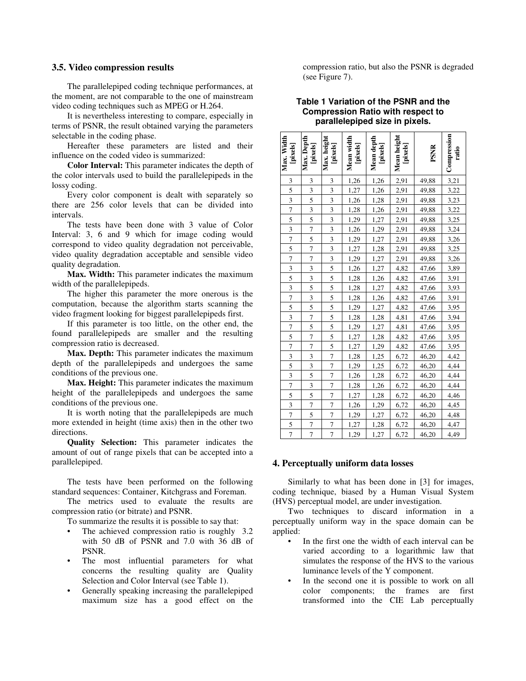#### **3.5. Video compression results**

The parallelepiped coding technique performances, at the moment, are not comparable to the one of mainstream video coding techniques such as MPEG or H.264.

It is nevertheless interesting to compare, especially in terms of PSNR, the result obtained varying the parameters selectable in the coding phase.

Hereafter these parameters are listed and their influence on the coded video is summarized:

**Color Interval:** This parameter indicates the depth of the color intervals used to build the parallelepipeds in the lossy coding.

Every color component is dealt with separately so there are 256 color levels that can be divided into intervals.

The tests have been done with 3 value of Color Interval: 3, 6 and 9 which for image coding would correspond to video quality degradation not perceivable, video quality degradation acceptable and sensible video quality degradation.

**Max. Width:** This parameter indicates the maximum width of the parallelepipeds.

The higher this parameter the more onerous is the computation, because the algorithm starts scanning the video fragment looking for biggest parallelepipeds first.

If this parameter is too little, on the other end, the found parallelepipeds are smaller and the resulting compression ratio is decreased.

**Max. Depth:** This parameter indicates the maximum depth of the parallelepipeds and undergoes the same conditions of the previous one.

**Max. Height:** This parameter indicates the maximum height of the parallelepipeds and undergoes the same conditions of the previous one.

It is worth noting that the parallelepipeds are much more extended in height (time axis) then in the other two directions.

**Quality Selection:** This parameter indicates the amount of out of range pixels that can be accepted into a parallelepiped.

The tests have been performed on the following standard sequences: Container, Kitchgrass and Foreman.

The metrics used to evaluate the results are compression ratio (or bitrate) and PSNR.

To summarize the results it is possible to say that:

- The achieved compression ratio is roughly 3.2 with 50 dB of PSNR and 7.0 with 36 dB of PSNR.
- The most influential parameters for what concerns the resulting quality are Quality Selection and Color Interval (see Table 1).
- Generally speaking increasing the parallelepiped maximum size has a good effect on the

compression ratio, but also the PSNR is degraded (see Figure 7).

# **Table 1 Variation of the PSNR and the Compression Ratio with respect to parallelepiped size in pixels.**

| Max. Width<br>[pixels]  | Max. Depth<br>[pixels]  | Max. height<br>[pixels] | Mean width<br>[pixels] | Mean depth<br>[pixels] | Mean height<br>[pixels] | <b>PSNR</b> | Compression<br>ratio |
|-------------------------|-------------------------|-------------------------|------------------------|------------------------|-------------------------|-------------|----------------------|
| 3                       | 3                       | 3                       | 1,26                   | 1,26                   | 2,91                    | 49,88       | 3,21                 |
| 5                       | $\overline{\mathbf{3}}$ | $\overline{\mathbf{3}}$ | 1,27                   | 1,26                   | 2,91                    | 49,88       | 3,22                 |
| $\overline{\mathbf{3}}$ | 5                       | 3                       | 1,26                   | 1,28                   | 2,91                    | 49,88       | 3,23                 |
| $\overline{7}$          | 3                       | 3                       | 1,28                   | 1,26                   | 2,91                    | 49,88       | 3,22                 |
| 5                       | 5                       | $\overline{\mathbf{3}}$ | 1,29                   | 1,27                   | 2,91                    | 49,88       | 3,25                 |
| 3                       | $\overline{7}$          | $\overline{\mathbf{3}}$ | 1,26                   | 1,29                   | 2,91                    | 49,88       | 3,24                 |
| $\tau$                  | 5                       | $\overline{\mathbf{3}}$ | 1,29                   | 1,27                   | 2,91                    | 49,88       | 3,26                 |
| 5                       | 7                       | 3                       | 1,27                   | 1,28                   | 2,91                    | 49,88       | 3,25                 |
| 7                       | 7                       | 3                       | 1,29                   | 1,27                   | 2,91                    | 49,88       | 3,26                 |
| 3                       | 3                       | 5                       | 1,26                   | 1,27                   | 4,82                    | 47,66       | 3,89                 |
| 5                       | 3                       | 5                       | 1,28                   | 1,26                   | 4,82                    | 47,66       | 3,91                 |
| $\overline{\mathbf{3}}$ | $\overline{5}$          | $\overline{5}$          | 1,28                   | 1,27                   | 4,82                    | 47,66       | 3,93                 |
| 7                       | 3                       | 5                       | 1,28                   | 1,26                   | 4,82                    | 47,66       | 3,91                 |
| 5                       | 5                       | 5                       | 1,29                   | 1,27                   | 4,82                    | 47,66       | 3,95                 |
| 3                       | 7                       | 5                       | 1,28                   | 1,28                   | 4,81                    | 47,66       | 3,94                 |
| 7                       | 5                       | 5                       | 1,29                   | 1,27                   | 4,81                    | 47,66       | 3,95                 |
| $\overline{5}$          | $\overline{7}$          | $\overline{5}$          | 1,27                   | 1,28                   | 4,82                    | 47,66       | 3,95                 |
| $\tau$                  | 7                       | 5                       | 1,27                   | 1,29                   | 4,82                    | 47,66       | 3,95                 |
| 3                       | 3                       | $\overline{7}$          | 1,28                   | 1,25                   | 6,72                    | 46,20       | 4,42                 |
| 5                       | 3                       | 7                       | 1,29                   | 1,25                   | 6,72                    | 46,20       | 4,44                 |
| 3                       | 5                       | 7                       | 1,26                   | 1,28                   | 6,72                    | 46,20       | 4,44                 |
| 7                       | 3                       | 7                       | 1,28                   | 1,26                   | 6,72                    | 46,20       | 4,44                 |
| 5                       | 5                       | 7                       | 1,27                   | 1,28                   | 6,72                    | 46,20       | 4,46                 |
| 3                       | 7                       | $\overline{7}$          | 1,26                   | 1,29                   | 6,72                    | 46,20       | 4,45                 |
| 7                       | 5                       | 7                       | 1,29                   | 1,27                   | 6,72                    | 46,20       | 4,48                 |
| 5                       | $\tau$                  | 7                       | 1,27                   | 1,28                   | 6,72                    | 46,20       | 4,47                 |
| $\overline{7}$          | $\overline{7}$          | $\overline{7}$          | 1,29                   | 1,27                   | 6,72                    | 46,20       | 4,49                 |

## **4. Perceptually uniform data losses**

Similarly to what has been done in [3] for images, coding technique, biased by a Human Visual System (HVS) perceptual model, are under investigation.

Two techniques to discard information in a perceptually uniform way in the space domain can be applied:

- In the first one the width of each interval can be varied according to a logarithmic law that simulates the response of the HVS to the various luminance levels of the Y component.
- In the second one it is possible to work on all color components; the frames are first transformed into the CIE Lab perceptually